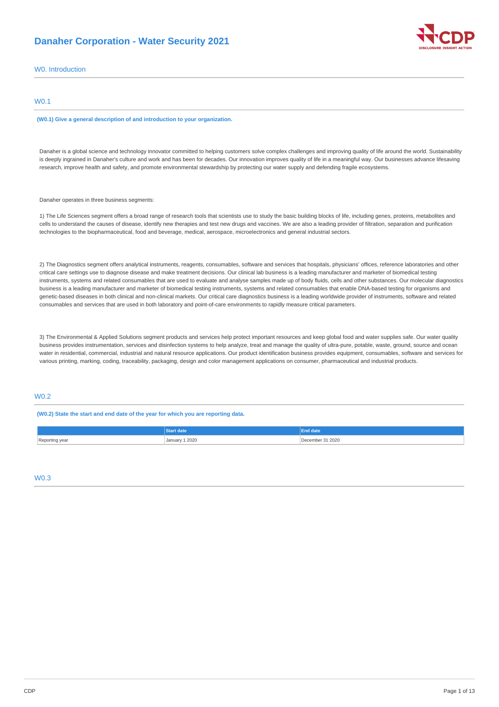# **Danaher Corporation - Water Security 2021**



## W0. Introduction

### W0.1

#### **(W0.1) Give a general description of and introduction to your organization.**

Danaher is a global science and technology innovator committed to helping customers solve complex challenges and improving quality of life around the world. Sustainability is deeply ingrained in Danaher's culture and work and has been for decades. Our innovation improves quality of life in a meaningful way. Our businesses advance lifesaving research, improve health and safety, and promote environmental stewardship by protecting our water supply and defending fragile ecosystems.

### Danaher operates in three business segments:

1) The Life Sciences segment offers a broad range of research tools that scientists use to study the basic building blocks of life, including genes, proteins, metabolites and cells to understand the causes of disease, identify new therapies and test new drugs and vaccines. We are also a leading provider of filtration, separation and purification technologies to the biopharmaceutical, food and beverage, medical, aerospace, microelectronics and general industrial sectors.

2) The Diagnostics segment offers analytical instruments, reagents, consumables, software and services that hospitals, physicians' offices, reference laboratories and other critical care settings use to diagnose disease and make treatment decisions. Our clinical lab business is a leading manufacturer and marketer of biomedical testing instruments, systems and related consumables that are used to evaluate and analyse samples made up of body fluids, cells and other substances. Our molecular diagnostics business is a leading manufacturer and marketer of biomedical testing instruments, systems and related consumables that enable DNA-based testing for organisms and genetic-based diseases in both clinical and non-clinical markets. Our critical care diagnostics business is a leading worldwide provider of instruments, software and related consumables and services that are used in both laboratory and point-of-care environments to rapidly measure critical parameters.

3) The Environmental & Applied Solutions segment products and services help protect important resources and keep global food and water supplies safe. Our water quality business provides instrumentation, services and disinfection systems to help analyze, treat and manage the quality of ultra-pure, potable, waste, ground, source and ocean water in residential, commercial, industrial and natural resource applications. Our product identification business provides equipment, consumables, software and services for various printing, marking, coding, traceability, packaging, design and color management applications on consumer, pharmaceutical and industrial products.

## W0.2

#### **(W0.2) State the start and end date of the year for which you are reporting data.**

|                     | .rt date              | ıd date          |
|---------------------|-----------------------|------------------|
| Reporting year<br>. | <b>January 1 2020</b> | December 31 2020 |

W0.3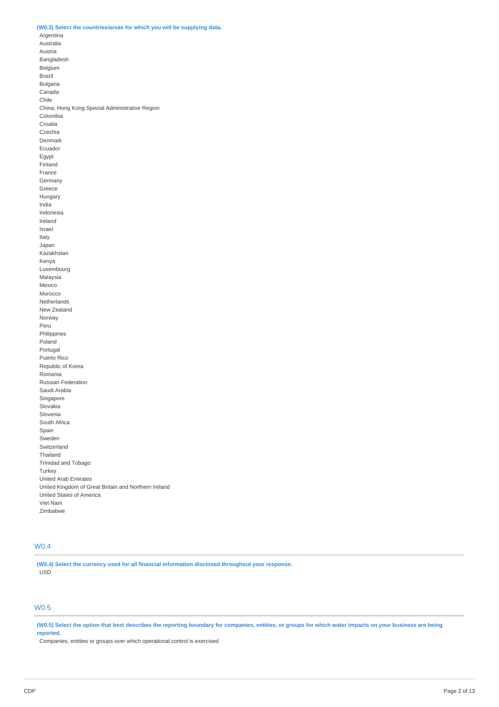### **(W0.3) Select the countries/areas for which you will be supplying data.**

Argentina Australia Austria Bangladesh Belgium Brazil Bulgaria Canada Chile China, Hong Kong Special Administrative Region Colombia Croatia Czechia Denmark Ecuador Egypt Finland France Germany Greece Hungary India Indonesia Ireland Israel Italy Japan Kazakhstan Kenya Luxembourg Malaysia Mexico Morocco Netherlands New Zealand Norway Peru Philippines Poland Portugal Puerto Rico Republic of Korea Romania Russian Federation Saudi Arabia Singapore Slovakia Slovenia South Africa Spain Sweden Switzerland Thailand Trinidad and Tobago **Turkey** United Arab Emirates United Kingdom of Great Britain and Northern Ireland United States of America Viet Nam Zimbabwe

# W0.4

**(W0.4) Select the currency used for all financial information disclosed throughout your response.** USD

## W0.5

(W0.5) Select the option that best describes the reporting boundary for companies, entities, or groups for which water impacts on your business are being **reported.**

Companies, entities or groups over which operational control is exercised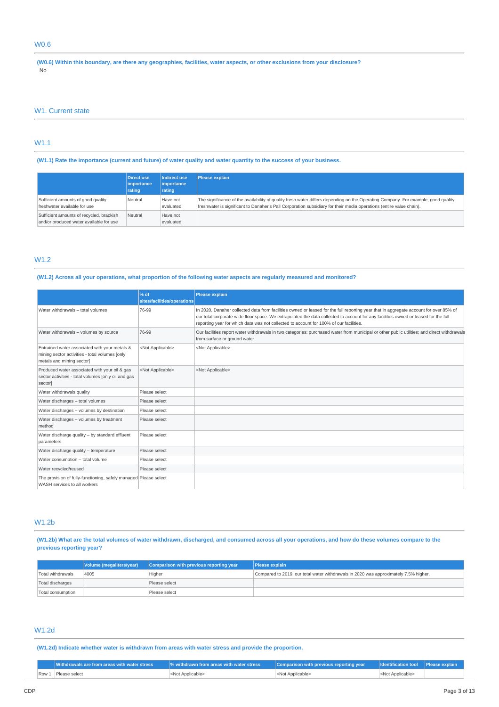## W0.6

(W0.6) Within this boundary, are there any geographies, facilities, water aspects, or other exclusions from your disclosure? No

### W1. Current state

# W1.1

(W1.1) Rate the importance (current and future) of water quality and water quantity to the success of your business.

|                                                                                     | Direct use          | Indirect use          | Please explain                                                                                                                                                                                                                                            |
|-------------------------------------------------------------------------------------|---------------------|-----------------------|-----------------------------------------------------------------------------------------------------------------------------------------------------------------------------------------------------------------------------------------------------------|
|                                                                                     | <i>l</i> importance | <i>importance</i>     |                                                                                                                                                                                                                                                           |
|                                                                                     | rating              | rating                |                                                                                                                                                                                                                                                           |
| Sufficient amounts of good quality<br>freshwater available for use                  | Neutral             | Have not<br>evaluated | The significance of the availability of quality fresh water differs depending on the Operating Company. For example, good quality,<br>freshwater is significant to Danaher's Pall Corporation subsidiary for their media operations (entire value chain). |
| Sufficient amounts of recycled, brackish<br>and/or produced water available for use | Neutral             | Have not<br>evaluated |                                                                                                                                                                                                                                                           |

## W1.2

### (W1.2) Across all your operations, what proportion of the following water aspects are regularly measured and monitored?

|                                                                                                                              | % of<br>sites/facilities/operations | Please explain                                                                                                                                                                                                                                                                                                                                                         |
|------------------------------------------------------------------------------------------------------------------------------|-------------------------------------|------------------------------------------------------------------------------------------------------------------------------------------------------------------------------------------------------------------------------------------------------------------------------------------------------------------------------------------------------------------------|
| Water withdrawals - total volumes                                                                                            | 76-99                               | In 2020, Danaher collected data from facilities owned or leased for the full reporting year that in aggregate account for over 85% of<br>our total corporate-wide floor space. We extrapolated the data collected to account for any facilities owned or leased for the full<br>reporting year for which data was not collected to account for 100% of our facilities. |
| Water withdrawals - volumes by source                                                                                        | 76-99                               | Our facilities report water withdrawals in two categories: purchased water from municipal or other public utilities; and direct withdrawals<br>from surface or ground water.                                                                                                                                                                                           |
| Entrained water associated with your metals &<br>mining sector activities - total volumes [only<br>metals and mining sector] | <not applicable=""></not>           | <not applicable=""></not>                                                                                                                                                                                                                                                                                                                                              |
| Produced water associated with your oil & gas<br>sector activities - total volumes [only oil and gas<br>sector]              | <not applicable=""></not>           | <not applicable=""></not>                                                                                                                                                                                                                                                                                                                                              |
| Water withdrawals quality                                                                                                    | Please select                       |                                                                                                                                                                                                                                                                                                                                                                        |
| Water discharges - total volumes                                                                                             | Please select                       |                                                                                                                                                                                                                                                                                                                                                                        |
| Water discharges - volumes by destination                                                                                    | Please select                       |                                                                                                                                                                                                                                                                                                                                                                        |
| Water discharges - volumes by treatment<br>method                                                                            | Please select                       |                                                                                                                                                                                                                                                                                                                                                                        |
| Water discharge quality - by standard effluent<br>parameters                                                                 | Please select                       |                                                                                                                                                                                                                                                                                                                                                                        |
| Water discharge quality - temperature                                                                                        | Please select                       |                                                                                                                                                                                                                                                                                                                                                                        |
| Water consumption - total volume                                                                                             | Please select                       |                                                                                                                                                                                                                                                                                                                                                                        |
| Water recycled/reused                                                                                                        | Please select                       |                                                                                                                                                                                                                                                                                                                                                                        |
| The provision of fully-functioning, safely managed Please select<br>WASH services to all workers                             |                                     |                                                                                                                                                                                                                                                                                                                                                                        |

# W1.2b

(W1.2b) What are the total volumes of water withdrawn, discharged, and consumed across all your operations, and how do these volumes compare to the **previous reporting year?**

|                   | Volume (megaliters/year) | Comparison with previous reporting year | <b>Please explain</b>                                                                |
|-------------------|--------------------------|-----------------------------------------|--------------------------------------------------------------------------------------|
| Total withdrawals | 4005                     | Higher                                  | Compared to 2019, our total water withdrawals in 2020 was approximately 7.5% higher. |
| Total discharges  |                          | Please select                           |                                                                                      |
| Total consumption |                          | Please select                           |                                                                                      |

# W1.2d

**(W1.2d) Indicate whether water is withdrawn from areas with water stress and provide the proportion.**

| Withdrawals are from areas with water stress 1 | We withdrawn from areas with water stress | $\Box$ Comparison with previous reporting year $\Box$ | <b>I</b> Identification tool | <b>Please explain</b> |
|------------------------------------------------|-------------------------------------------|-------------------------------------------------------|------------------------------|-----------------------|
| Row 1 Please select                            | -Not Applicable>                          | Not Applicable>                                       | <not applicable=""></not>    |                       |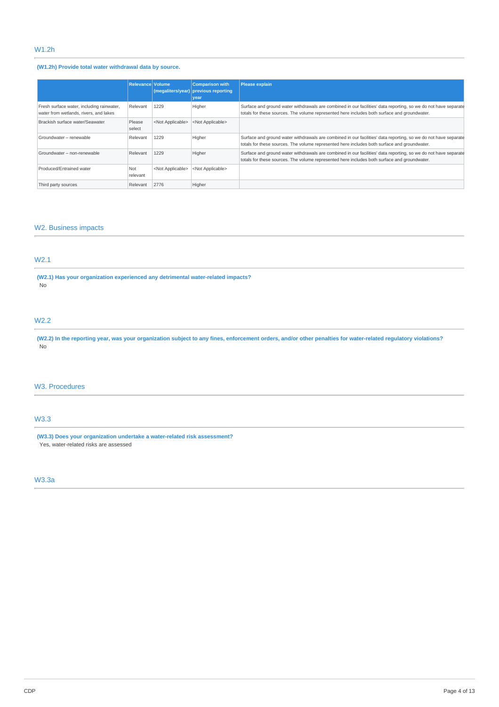# W1.2h

# **(W1.2h) Provide total water withdrawal data by source.**

|                                                                                     | Relevance Volume |                           | <b>Comparison with</b><br>(megaliters/year) previous reporting<br>vear | Please explain                                                                                                                                                                                                  |
|-------------------------------------------------------------------------------------|------------------|---------------------------|------------------------------------------------------------------------|-----------------------------------------------------------------------------------------------------------------------------------------------------------------------------------------------------------------|
| Fresh surface water, including rainwater,<br>water from wetlands, rivers, and lakes | Relevant         | 1229                      | Higher                                                                 | Surface and ground water withdrawals are combined in our facilities' data reporting, so we do not have separate<br>totals for these sources. The volume represented here includes both surface and groundwater. |
| Brackish surface water/Seawater                                                     | Please<br>select | <not applicable=""></not> | <not applicable=""></not>                                              |                                                                                                                                                                                                                 |
| Groundwater - renewable                                                             | Relevant         | 1229                      | Higher                                                                 | Surface and ground water withdrawals are combined in our facilities' data reporting, so we do not have separate<br>totals for these sources. The volume represented here includes both surface and groundwater. |
| Groundwater - non-renewable                                                         | Relevant         | 1229                      | Higher                                                                 | Surface and ground water withdrawals are combined in our facilities' data reporting, so we do not have separate<br>totals for these sources. The volume represented here includes both surface and groundwater. |
| Produced/Entrained water                                                            | Not<br>relevant  | <not applicable=""></not> | <not applicable=""></not>                                              |                                                                                                                                                                                                                 |
| Third party sources                                                                 | Relevant         | 2776                      | Higher                                                                 |                                                                                                                                                                                                                 |

# W2. Business impacts

# W2.1

**(W2.1) Has your organization experienced any detrimental water-related impacts?** No

# W2.2

(W2.2) In the reporting year, was your organization subject to any fines, enforcement orders, and/or other penalties for water-related regulatory violations? No

## W3. Procedures

# W3.3

**(W3.3) Does your organization undertake a water-related risk assessment?** Yes, water-related risks are assessed

# W3.3a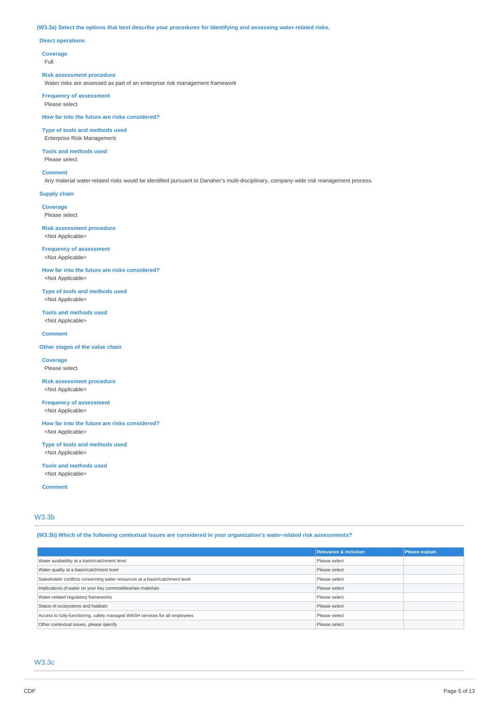### **(W3.3a) Select the options that best describe your procedures for identifying and assessing water-related risks.**

## **Direct operations**

**Coverage**

Full

#### **Risk assessment procedure**

Water risks are assessed as part of an enterprise risk management framework

**Frequency of assessment** Please select

**How far into the future are risks considered?**

**Type of tools and methods used** Enterprise Risk Management

**Tools and methods used** Please select

**Comment**

Any material water-related risks would be identified pursuant to Danaher's multi-disciplinary, company-wide risk management process.

**Supply chain**

**Coverage** Please select

**Risk assessment procedure** <Not Applicable>

**Frequency of assessment** <Not Applicable>

**How far into the future are risks considered?** <Not Applicable>

**Type of tools and methods used** <Not Applicable>

**Tools and methods used** <Not Applicable>

**Comment**

**Other stages of the value chain**

**Coverage** Please select

**Risk assessment procedure** <Not Applicable>

**Frequency of assessment** <Not Applicable>

**How far into the future are risks considered?** <Not Applicable>

**Type of tools and methods used** <Not Applicable>

**Tools and methods used** <Not Applicable>

**Comment**

# W3.3b

**(W3.3b) Which of the following contextual issues are considered in your organization's water-related risk assessments?**

|                                                                             | <b>Relevance &amp; inclusion</b> | Please explain |
|-----------------------------------------------------------------------------|----------------------------------|----------------|
| Water availability at a basin/catchment level                               | Please select                    |                |
| Water quality at a basin/catchment level                                    | Please select                    |                |
| Stakeholder conflicts concerning water resources at a basin/catchment level | Please select                    |                |
| Implications of water on your key commodities/raw materials                 | Please select                    |                |
| Water-related regulatory frameworks                                         | Please select                    |                |
| Status of ecosystems and habitats                                           | Please select                    |                |
| Access to fully-functioning, safely managed WASH services for all employees | Please select                    |                |
| Other contextual issues, please specify                                     | Please select                    |                |

## W3.3c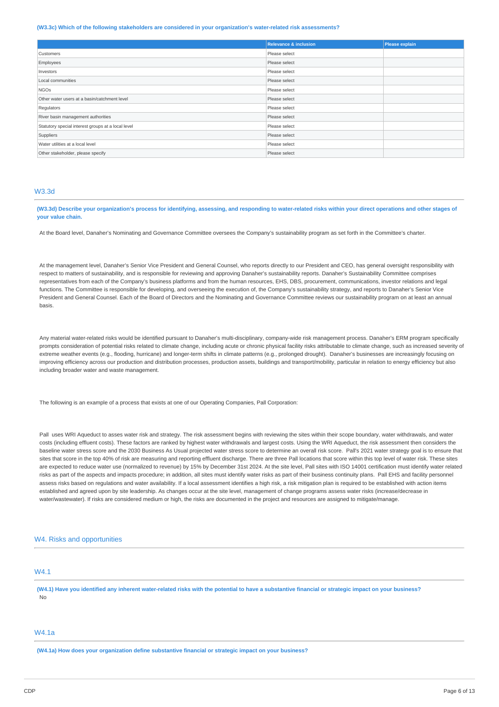#### **(W3.3c) Which of the following stakeholders are considered in your organization's water-related risk assessments?**

|                                                    | <b>Relevance &amp; inclusion</b> | Please explain |
|----------------------------------------------------|----------------------------------|----------------|
| Customers                                          | Please select                    |                |
| Employees                                          | Please select                    |                |
| Investors                                          | Please select                    |                |
| Local communities                                  | Please select                    |                |
| <b>NGOs</b>                                        | Please select                    |                |
| Other water users at a basin/catchment level       | Please select                    |                |
| Regulators                                         | Please select                    |                |
| River basin management authorities                 | Please select                    |                |
| Statutory special interest groups at a local level | Please select                    |                |
| Suppliers                                          | Please select                    |                |
| Water utilities at a local level                   | Please select                    |                |
| Other stakeholder, please specify                  | Please select                    |                |

## W3.3d

(W3.3d) Describe your organization's process for identifying, assessing, and responding to water-related risks within your direct operations and other stages of **your value chain.**

At the Board level, Danaher's Nominating and Governance Committee oversees the Company's sustainability program as set forth in the Committee's charter.

At the management level, Danaher's Senior Vice President and General Counsel, who reports directly to our President and CEO, has general oversight responsibility with respect to matters of sustainability, and is responsible for reviewing and approving Danaher's sustainability reports. Danaher's Sustainability Committee comprises representatives from each of the Company's business platforms and from the human resources, EHS, DBS, procurement, communications, investor relations and legal functions. The Committee is responsible for developing, and overseeing the execution of, the Company's sustainability strategy, and reports to Danaher's Senior Vice President and General Counsel. Each of the Board of Directors and the Nominating and Governance Committee reviews our sustainability program on at least an annual basis.

Any material water-related risks would be identified pursuant to Danaher's multi-disciplinary, company-wide risk management process. Danaher's ERM program specifically prompts consideration of potential risks related to climate change, including acute or chronic physical facility risks attributable to climate change, such as increased severity of extreme weather events (e.g., flooding, hurricane) and longer-term shifts in climate patterns (e.g., prolonged drought). Danaher's businesses are increasingly focusing on improving efficiency across our production and distribution processes, production assets, buildings and transport/mobility, particular in relation to energy efficiency but also including broader water and waste management.

The following is an example of a process that exists at one of our Operating Companies, Pall Corporation:

Pall uses WRI Aqueduct to asses water risk and strategy. The risk assessment begins with reviewing the sites within their scope boundary, water withdrawals, and water costs (including effluent costs). These factors are ranked by highest water withdrawals and largest costs. Using the WRI Aqueduct, the risk assessment then considers the baseline water stress score and the 2030 Business As Usual projected water stress score to determine an overall risk score. Pall's 2021 water strategy goal is to ensure that sites that score in the top 40% of risk are measuring and reporting effluent discharge. There are three Pall locations that score within this top level of water risk. These sites are expected to reduce water use (normalized to revenue) by 15% by December 31st 2024. At the site level, Pall sites with ISO 14001 certification must identify water related risks as part of the aspects and impacts procedure; in addition, all sites must identify water risks as part of their business continuity plans. Pall EHS and facility personnel assess risks based on regulations and water availability. If a local assessment identifies a high risk, a risk mitigation plan is required to be established with action items established and agreed upon by site leadership. As changes occur at the site level, management of change programs assess water risks (increase/decrease in water/wastewater). If risks are considered medium or high, the risks are documented in the project and resources are assigned to mitigate/manage.

## W4. Risks and opportunities

# W4.1

(W4.1) Have you identified any inherent water-related risks with the potential to have a substantive financial or strategic impact on your business? No

# W4.1a

**(W4.1a) How does your organization define substantive financial or strategic impact on your business?**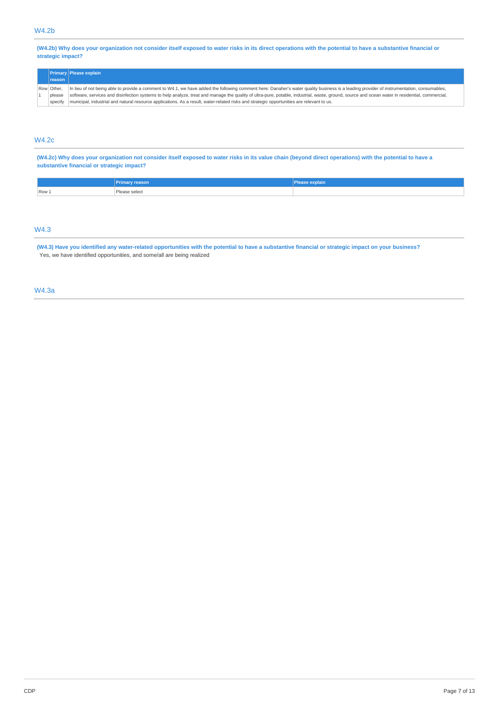(W4.2b) Why does your organization not consider itself exposed to water risks in its direct operations with the potential to have a substantive financial or **strategic impact?**

| reason                          | <b>Primary Please explain</b>                                                                                                                                                                                                                                                                                                                                                                                                                                                                                                             |
|---------------------------------|-------------------------------------------------------------------------------------------------------------------------------------------------------------------------------------------------------------------------------------------------------------------------------------------------------------------------------------------------------------------------------------------------------------------------------------------------------------------------------------------------------------------------------------------|
| Row Other.<br>please<br>specify | In lieu of not being able to provide a comment to W4.1, we have added the following comment here: Danaher's water quality business is a leading provider of instrumentation, consumables,<br>software, services and disinfection systems to help analyze, treat and manage the quality of ultra-pure, potable, industrial, waste, ground, source and ocean water in residential, commercial,<br>municipal, industrial and natural resource applications. As a result, water-related risks and strategic opportunities are relevant to us. |

# W4.2c

(W4.2c) Why does your organization not consider itself exposed to water risks in its value chain (beyond direct operations) with the potential to have a **substantive financial or strategic impact?**

|       | <b>Primary reason</b> | ехріані<br><b>ACCISC</b> |
|-------|-----------------------|--------------------------|
| Row 1 | וסופטו<br>.           |                          |
|       |                       |                          |

# W4.3

(W4.3) Have you identified any water-related opportunities with the potential to have a substantive financial or strategic impact on your business? Yes, we have identified opportunities, and some/all are being realized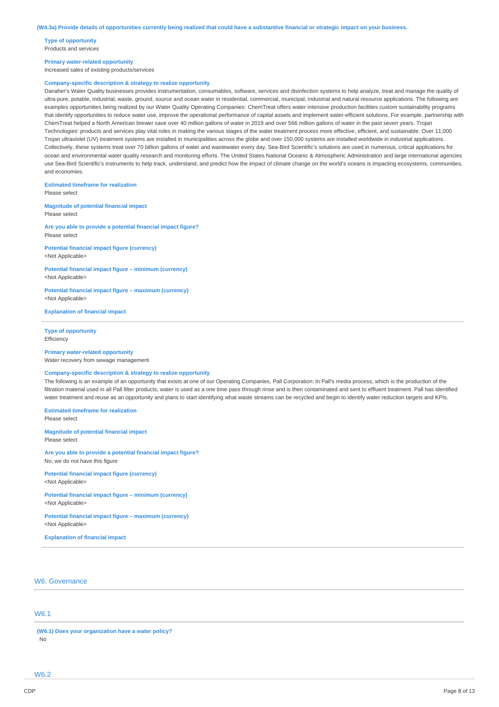**Type of opportunity** Products and services

#### **Primary water-related opportunity**

Increased sales of existing products/services

#### **Company-specific description & strategy to realize opportunity**

Danaher's Water Quality businesses provides instrumentation, consumables, software, services and disinfection systems to help analyze, treat and manage the quality of ultra-pure, potable, industrial, waste, ground, source and ocean water in residential, commercial, municipal, industrial and natural resource applications. The following are examples opportunities being realized by our Water Quality Operating Companies: ChemTreat offers water intensive production facilities custom sustainability programs that identify opportunities to reduce water use, improve the operational performance of capital assets and implement water-efficient solutions. For example, partnership with ChemTreat helped a North American brewer save over 40 million gallons of water in 2019 and over 566 million gallons of water in the past seven years. Trojan Technologies' products and services play vital roles in making the various stages of the water treatment process more effective, efficient, and sustainable. Over 11,000 Trojan ultraviolet (UV) treatment systems are installed in municipalities across the globe and over 150,000 systems are installed worldwide in industrial applications. Collectively, these systems treat over 70 billion gallons of water and wastewater every day. Sea-Bird Scientific's solutions are used in numerous, critical applications for ocean and environmental water quality research and monitoring efforts. The United States National Oceanic & Atmospheric Administration and large international agencies use Sea-Bird Scientific's instruments to help track, understand, and predict how the impact of climate change on the world's oceans is impacting ecosystems, communities, and economies.

## **Estimated timeframe for realization**

Please select

**Magnitude of potential financial impact** Please select

**Are you able to provide a potential financial impact figure?** Please select

**Potential financial impact figure (currency)** <Not Applicable>

**Potential financial impact figure – minimum (currency)** <Not Applicable>

**Potential financial impact figure – maximum (currency)** <Not Applicable>

**Explanation of financial impact**

#### **Type of opportunity Efficiency**

### **Primary water-related opportunity**

Water recovery from sewage management

# **Company-specific description & strategy to realize opportunity**

The following is an example of an opportunity that exists at one of our Operating Companies, Pall Corporation: In Pall's media process, which is the production of the filtration material used in all Pall filter products, water is used as a one time pass through rinse and is then contaminated and sent to effluent treatment. Pall has identified water treatment and reuse as an opportunity and plans to start identifying what waste streams can be recycled and begin to identify water reduction targets and KPIs.

**Estimated timeframe for realization** Please select

**Magnitude of potential financial impact** Please select

**Are you able to provide a potential financial impact figure?** No, we do not have this figure

**Potential financial impact figure (currency)** <Not Applicable>

**Potential financial impact figure – minimum (currency)** <Not Applicable>

**Potential financial impact figure – maximum (currency)** <Not Applicable>

**Explanation of financial impact**

## W6. Governance

## W6.1

**(W6.1) Does your organization have a water policy?** No

W6.2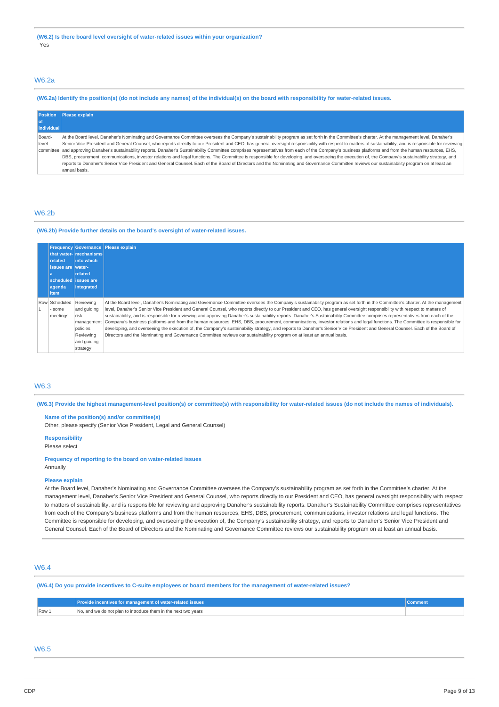# W6.2a

## (W6.2a) Identify the position(s) (do not include any names) of the individual(s) on the board with responsibility for water-related issues.

| <b>Position</b> | <b>Please explain</b>                                                                                                                                                                                      |
|-----------------|------------------------------------------------------------------------------------------------------------------------------------------------------------------------------------------------------------|
| l of            |                                                                                                                                                                                                            |
| individual      |                                                                                                                                                                                                            |
| Board-          | At the Board level, Danaher's Nominating and Governance Committee oversees the Company's sustainability program as set forth in the Committee's charter. At the management level, Danaher's                |
| level           | Senior Vice President and General Counsel, who reports directly to our President and CEO, has general oversight responsibility with respect to matters of sustainability, and is responsible for reviewing |
|                 | committee and approving Danaher's sustainability reports. Danaher's Sustainability Committee comprises representatives from each of the Company's business platforms and from the human resources, EHS,    |
|                 | DBS, procurement, communications, investor relations and legal functions. The Committee is responsible for developing, and overseeing the execution of, the Company's sustainability strategy, and         |
|                 | reports to Danaher's Senior Vice President and General Counsel. Each of the Board of Directors and the Nominating and Governance Committee reviews our sustainability program on at least an               |
|                 | annual basis.                                                                                                                                                                                              |

## W6.2b

#### **(W6.2b) Provide further details on the board's oversight of water-related issues.**

| related<br>issues are water-<br>agenda<br><i>item</i> | that water-   mechanisms  <br>l into which<br>related<br>scheduled issues are<br>integrated | <b>Frequency Governance Please explain</b>                                                                                                                                                                                                                                                                                                                                                                                                                                                                                                                                                                                                                                                                                                                                                                                                                                                                                                                                                                                        |
|-------------------------------------------------------|---------------------------------------------------------------------------------------------|-----------------------------------------------------------------------------------------------------------------------------------------------------------------------------------------------------------------------------------------------------------------------------------------------------------------------------------------------------------------------------------------------------------------------------------------------------------------------------------------------------------------------------------------------------------------------------------------------------------------------------------------------------------------------------------------------------------------------------------------------------------------------------------------------------------------------------------------------------------------------------------------------------------------------------------------------------------------------------------------------------------------------------------|
| Row Scheduled Reviewing<br>some<br>meetings           | and quiding<br>risk<br>management<br>policies<br>Reviewing<br>and quiding<br>strategy       | At the Board level, Danaher's Nominating and Governance Committee oversees the Company's sustainability program as set forth in the Committee's charter. At the management<br>level, Danaher's Senior Vice President and General Counsel, who reports directly to our President and CEO, has general oversight responsibility with respect to matters of<br>sustainability, and is responsible for reviewing and approving Danaher's sustainability reports. Danaher's Sustainability Committee comprises representatives from each of the<br>Company's business platforms and from the human resources, EHS, DBS, procurement, communications, investor relations and legal functions. The Committee is responsible for<br>developing, and overseeing the execution of, the Company's sustainability strategy, and reports to Danaher's Senior Vice President and General Counsel. Each of the Board of<br>Directors and the Nominating and Governance Committee reviews our sustainability program on at least an annual basis. |

## W6.3

(W6.3) Provide the highest management-level position(s) or committee(s) with responsibility for water-related issues (do not include the names of individuals).

### **Name of the position(s) and/or committee(s)** Other, please specify (Senior Vice President, Legal and General Counsel)

# **Responsibility**

Please select

#### **Frequency of reporting to the board on water-related issues** Annually

#### **Please explain**

At the Board level, Danaher's Nominating and Governance Committee oversees the Company's sustainability program as set forth in the Committee's charter. At the management level, Danaher's Senior Vice President and General Counsel, who reports directly to our President and CEO, has general oversight responsibility with respect to matters of sustainability, and is responsible for reviewing and approving Danaher's sustainability reports. Danaher's Sustainability Committee comprises representatives from each of the Company's business platforms and from the human resources, EHS, DBS, procurement, communications, investor relations and legal functions. The Committee is responsible for developing, and overseeing the execution of, the Company's sustainability strategy, and reports to Danaher's Senior Vice President and General Counsel. Each of the Board of Directors and the Nominating and Governance Committee reviews our sustainability program on at least an annual basis.

## W6.4

(W6.4) Do you provide incentives to C-suite employees or board members for the management of water-related issues?

|       | Provide incentives for management of water-related issues <b>b</b> |  |
|-------|--------------------------------------------------------------------|--|
| Row 1 | No, and we do not plan to introduce them in the next two vears     |  |

# W6.5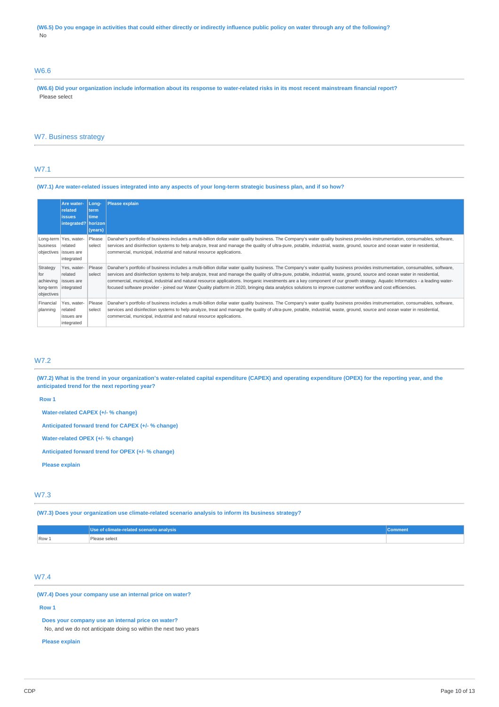(W6.5) Do you engage in activities that could either directly or indirectly influence public policy on water through any of the following? No

# W6.6

(W6.6) Did your organization include information about its response to water-related risks in its most recent mainstream financial report? Please select

## W7. Business strategy

# W7.1

#### (W7.1) Are water-related issues integrated into any aspects of your long-term strategic business plan, and if so how?

|                                                                    | Are water-<br>related<br><i>issues</i><br>integrated?   horizon           | Long-<br>term<br>time<br>(years) | <b>Please explain</b>                                                                                                                                                                                                                                                                                                                                                                                                                                                                                                                                                                                                                                                                                       |
|--------------------------------------------------------------------|---------------------------------------------------------------------------|----------------------------------|-------------------------------------------------------------------------------------------------------------------------------------------------------------------------------------------------------------------------------------------------------------------------------------------------------------------------------------------------------------------------------------------------------------------------------------------------------------------------------------------------------------------------------------------------------------------------------------------------------------------------------------------------------------------------------------------------------------|
| business                                                           | Long-term   Yes, water-<br>related<br>objectives issues are<br>integrated | Please<br>select                 | Danaher's portfolio of business includes a multi-billion dollar water quality business. The Company's water quality business provides instrumentation, consumables, software,<br>services and disinfection systems to help analyze, treat and manage the quality of ultra-pure, potable, industrial, waste, ground, source and ocean water in residential,<br>commercial, municipal, industrial and natural resource applications.                                                                                                                                                                                                                                                                          |
| Strategy<br>for<br>achieving<br>long-term integrated<br>objectives | Yes, water-<br>related<br>issues are                                      | Please<br>select                 | Danaher's portfolio of business includes a multi-billion dollar water quality business. The Company's water quality business provides instrumentation, consumables, software,<br>services and disinfection systems to help analyze, treat and manage the quality of ultra-pure, potable, industrial, waste, ground, source and ocean water in residential,<br>commercial, municipal, industrial and natural resource applications. Inorganic investments are a key component of our growth strategy. Aquatic Informatics - a leading water-<br>focused software provider - joined our Water Quality platform in 2020, bringing data analytics solutions to improve customer workflow and cost efficiencies. |
| Financial<br>planning                                              | Yes, water-<br>related<br>issues are<br>integrated                        | Please<br>select                 | Danaher's portfolio of business includes a multi-billion dollar water quality business. The Company's water quality business provides instrumentation, consumables, software,<br>services and disinfection systems to help analyze, treat and manage the quality of ultra-pure, potable, industrial, waste, ground, source and ocean water in residential,<br>commercial, municipal, industrial and natural resource applications.                                                                                                                                                                                                                                                                          |

## W7.2

(W7.2) What is the trend in your organization's water-related capital expenditure (CAPEX) and operating expenditure (OPEX) for the reporting year, and the **anticipated trend for the next reporting year?**

**Row 1**

**Water-related CAPEX (+/- % change)**

**Anticipated forward trend for CAPEX (+/- % change)**

**Water-related OPEX (+/- % change)**

**Anticipated forward trend for OPEX (+/- % change)**

**Please explain**

### W7.3

**(W7.3) Does your organization use climate-related scenario analysis to inform its business strategy?**

|                                     | Use of climate-related scenario analysis | Comment |
|-------------------------------------|------------------------------------------|---------|
| $\sqrt{R}$ Row $\frac{1}{\sqrt{R}}$ | Please select                            |         |

## W7.4

**(W7.4) Does your company use an internal price on water?**

### **Row 1**

**Does your company use an internal price on water?**

No, and we do not anticipate doing so within the next two years

**Please explain**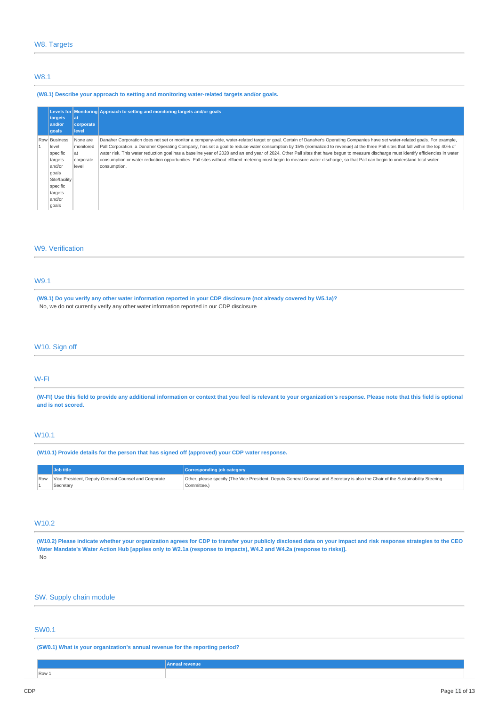## W8.1

#### **(W8.1) Describe your approach to setting and monitoring water-related targets and/or goals.**

| Levels for<br>targets<br>and/or<br>qoals                                                                                   | at<br>corporate<br>level                          | Monitoring Approach to setting and monitoring targets and/or goals                                                                                                                                                                                                                                                                                                                                                                                                                                                                                                                                                                                                                                                                                      |
|----------------------------------------------------------------------------------------------------------------------------|---------------------------------------------------|---------------------------------------------------------------------------------------------------------------------------------------------------------------------------------------------------------------------------------------------------------------------------------------------------------------------------------------------------------------------------------------------------------------------------------------------------------------------------------------------------------------------------------------------------------------------------------------------------------------------------------------------------------------------------------------------------------------------------------------------------------|
| Row Business<br>level<br>specific<br>targets<br>and/or<br>qoals<br>Site/facility<br>specific<br>targets<br>and/or<br>goals | None are<br>monitored<br>at<br>corporate<br>level | Danaher Corporation does not set or monitor a company-wide, water-related target or goal. Certain of Danaher's Operating Companies have set water-related goals. For example,<br>Pall Corporation, a Danaher Operating Company, has set a goal to reduce water consumption by 15% (normalized to revenue) at the three Pall sites that fall within the top 40% of<br>water risk. This water reduction goal has a baseline year of 2020 and an end year of 2024. Other Pall sites that have begun to measure discharge must identify efficiencies in water<br>consumption or water reduction opportunities. Pall sites without effluent metering must begin to measure water discharge, so that Pall can begin to understand total water<br>consumption. |

# W9. Verification

# W9.1

(W9.1) Do you verify any other water information reported in your CDP disclosure (not already covered by W5.1a)? No, we do not currently verify any other water information reported in our CDP disclosure

# W10. Sign off

#### W-FI

(W-FI) Use this field to provide any additional information or context that you feel is relevant to your organization's response. Please note that this field is optional **and is not scored.**

# W10.1

**(W10.1) Provide details for the person that has signed off (approved) your CDP water response.**

| <b>Job title</b>                                           | <b>Corresponding job category</b>                                                                                                |
|------------------------------------------------------------|----------------------------------------------------------------------------------------------------------------------------------|
| Row   Vice President, Deputy General Counsel and Corporate | Other, please specify (The Vice President, Deputy General Counsel and Secretary is also the Chair of the Sustainability Steering |
| Secretary                                                  | Committee.)                                                                                                                      |

## W10.2

(W10.2) Please indicate whether your organization agrees for CDP to transfer your publicly disclosed data on your impact and risk response strategies to the CEO Water Mandate's Water Action Hub [applies only to W2.1a (response to impacts), W4.2 and W4.2a (response to risks)]. No

## SW. Supply chain module

# SW0.1

**(SW0.1) What is your organization's annual revenue for the reporting period?**

|       | Annual revenue |
|-------|----------------|
| Row 1 |                |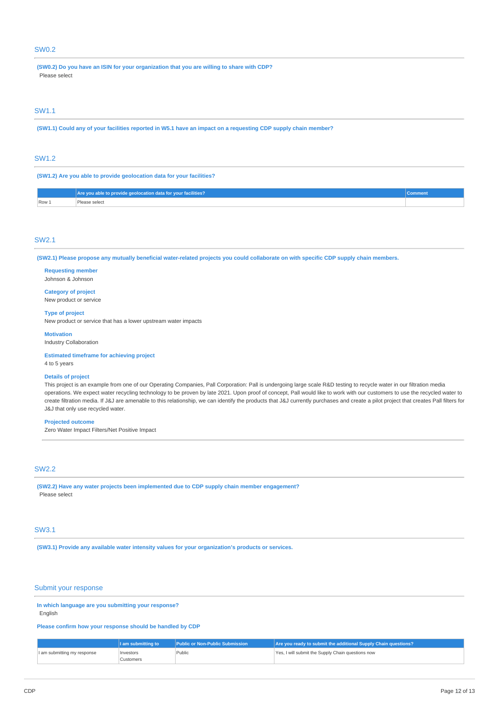# SW0.2

**(SW0.2) Do you have an ISIN for your organization that you are willing to share with CDP?** Please select

## SW1.1

(SW1.1) Could any of your facilities reported in W5.1 have an impact on a requesting CDP supply chain member?

## SW1.2

**(SW1.2) Are you able to provide geolocation data for your facilities?**

|       | Are you able to provide geolocation data for your facilities? | Comment |
|-------|---------------------------------------------------------------|---------|
| Row 1 | ase select                                                    |         |

### SW2.1

(SW2.1) Please propose any mutually beneficial water-related projects you could collaborate on with specific CDP supply chain members.

**Requesting member** Johnson & Johnson

**Category of project** New product or service

**Type of project**

New product or service that has a lower upstream water impacts

**Motivation**

Industry Collaboration

**Estimated timeframe for achieving project** 4 to 5 years

#### **Details of project**

This project is an example from one of our Operating Companies, Pall Corporation: Pall is undergoing large scale R&D testing to recycle water in our filtration media operations. We expect water recycling technology to be proven by late 2021. Upon proof of concept, Pall would like to work with our customers to use the recycled water to create filtration media. If J&J are amenable to this relationship, we can identify the products that J&J currently purchases and create a pilot project that creates Pall filters for J&J that only use recycled water.

### **Projected outcome**

Zero Water Impact Filters/Net Positive Impact

## SW2.2

**(SW2.2) Have any water projects been implemented due to CDP supply chain member engagement?** Please select

## SW3.1

**(SW3.1) Provide any available water intensity values for your organization's products or services.**

### Submit your response

**In which language are you submitting your response?** English

#### **Please confirm how your response should be handled by CDP**

|                             | I am submitting to | l Public or Non-Public Submission <b>\</b> | Are you ready to submit the additional Supply Chain questions? |
|-----------------------------|--------------------|--------------------------------------------|----------------------------------------------------------------|
| I am submitting my response | Investors          | Public                                     | Yes, I will submit the Supply Chain questions now              |
|                             | Customers          |                                            |                                                                |